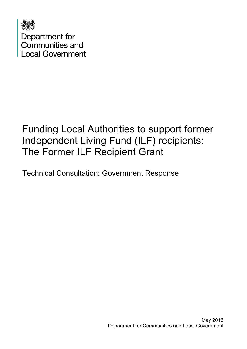

# Funding Local Authorities to support former Independent Living Fund (ILF) recipients: The Former ILF Recipient Grant

Technical Consultation: Government Response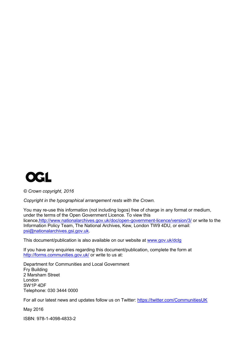

*© Crown copyright, 2016*

*Copyright in the typographical arrangement rests with the Crown.*

You may re-use this information (not including logos) free of charge in any format or medium, under the terms of the Open Government Licence. To view this licence[,http://www.nationalarchives.gov.uk/doc/open-government-licence/version/3/](http://www.nationalarchives.gov.uk/doc/open-government-licence/version/3/) or write to the Information Policy Team, The National Archives, Kew, London TW9 4DU, or email: [psi@nationalarchives.gsi.gov.uk.](mailto:psi@nationalarchives.gsi.gov.uk)

This document/publication is also available on our website at [www.gov.uk/dclg](http://www.gov.uk/dclg)

If you have any enquiries regarding this document/publication, complete the form at <http://forms.communities.gov.uk/> or write to us at:

Department for Communities and Local Government Fry Building 2 Marsham Street London SW1P 4DF Telephone: 030 3444 0000

For all our latest news and updates follow us on Twitter:<https://twitter.com/CommunitiesUK>

May 2016

ISBN: 978-1-4098-4833-2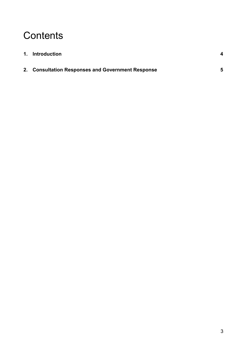# **Contents**

| 1. Introduction                                   |   |
|---------------------------------------------------|---|
| 2. Consultation Responses and Government Response | 5 |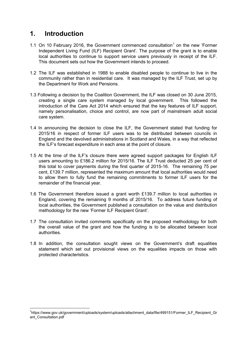## <span id="page-3-0"></span>**1. Introduction**

- [1](#page-3-1).1 On 10 February 2016, the Government commenced consultation<sup>1</sup> on the new 'Former Independent Living Fund (ILF) Recipient Grant'. The purpose of the grant is to enable local authorities to continue to support service users previously in receipt of the ILF. This document sets out how the Government intends to proceed.
- 1.2 The ILF was established in 1988 to enable disabled people to continue to live in the community rather than in residential care. It was managed by the ILF Trust, set up by the Department for Work and Pensions.
- 1.3 Following a decision by the Coalition Government, the ILF was closed on 30 June 2015, creating a single care system managed by local government. This followed the introduction of the Care Act 2014 which ensured that the key features of ILF support, namely personalisation, choice and control, are now part of mainstream adult social care system.
- 1.4 In announcing the decision to close the ILF, the Government stated that funding for 2015/16 in respect of former ILF users was to be distributed between councils in England and the devolved administrations in Scotland and Wales, in a way that reflected the ILF's forecast expenditure in each area at the point of closure.
- 1.5 At the time of the ILF's closure there were agreed support packages for English ILF users amounting to £186.2 million for 2015/16. The ILF Trust deducted 25 per cent of this total to cover payments during the first quarter of 2015-16. The remaining 75 per cent, £139.7 million, represented the maximum amount that local authorities would need to allow them to fully fund the remaining commitments to former ILF users for the remainder of the financial year.
- 1.6 The Government therefore issued a grant worth £139.7 million to local authorities in England, covering the remaining 9 months of 2015/16. To address future funding of local authorities, the Government published a consultation on the value and distribution methodology for the new 'Former ILF Recipient Grant'.
- 1.7 The consultation invited comments specifically on the proposed methodology for both the overall value of the grant and how the funding is to be allocated between local authorities.
- 1.8 In addition, the consultation sought views on the Government's draft equalities statement which set out provisional views on the equalities impacts on those with protected characteristics.

<span id="page-3-1"></span> $\frac{1}{1}$ <sup>1</sup>https://www.gov.uk/government/uploads/system/uploads/attachment\_data/file/499151/Former\_ILF\_Recipient\_Gr ant Consultation.pdf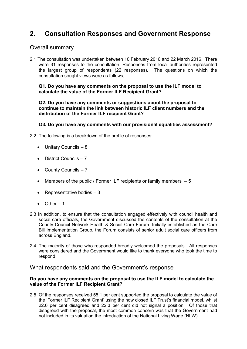## <span id="page-4-0"></span>**2. Consultation Responses and Government Response**

### Overall summary

2.1 The consultation was undertaken between 10 February 2016 and 22 March 2016. There were 31 responses to the consultation. Responses from local authorities represented the largest group of respondents (22 responses). The questions on which the consultation sought views were as follows;

#### **Q1. Do you have any comments on the proposal to use the ILF model to calculate the value of the Former ILF Recipient Grant?**

**Q2. Do you have any comments or suggestions about the proposal to continue to maintain the link between historic ILF client numbers and the distribution of the Former ILF recipient Grant?** 

#### **Q3. Do you have any comments with our provisional equalities assessment?**

- 2.2 The following is a breakdown of the profile of responses:
	- Unitary Councils 8
	- District Councils 7
	- County Councils 7
	- Members of the public / Former ILF recipients or family members  $-5$
	- Representative bodies  $-3$
	- $\bullet$  Other  $-1$
- 2.3 In addition, to ensure that the consultation engaged effectively with council health and social care officials, the Government discussed the contents of the consultation at the County Council Network Health & Social Care Forum. Initially established as the Care Bill Implementation Group, the Forum consists of senior adult social care officers from across England.
- 2.4 The majority of those who responded broadly welcomed the proposals. All responses were considered and the Government would like to thank everyone who took the time to respond.

### What respondents said and the Government's response

#### **Do you have any comments on the proposal to use the ILF model to calculate the value of the Former ILF Recipient Grant?**

2.5 Of the responses received 55.1 per cent supported the proposal to calculate the value of the 'Former ILF Recipient Grant' using the now closed ILF Trust's financial model, whilst 22.6 per cent disagreed and 22.3 per cent did not signal a position. Of those that disagreed with the proposal, the most common concern was that the Government had not included in its valuation the introduction of the National Living Wage (NLW).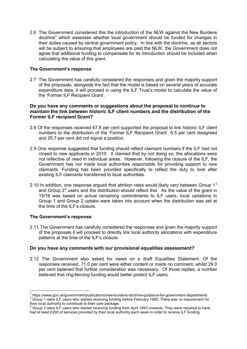2.6 The Government considered this the introduction of the NLW against the New Burdens  $d$  doctrine<sup>[2](#page-5-0)</sup> which assesses whether local government should be funded for changes in their duties caused by central government policy. In line with the doctrine, as all sectors will be subject to ensuring that employees are paid the NLW, the Government does not agree that additional funding to compensate for its introduction should be included when calculating the value of this grant.

#### **The Government's response**

2.7 The Government has carefully considered the responses and given the majority support of the proposals, alongside the fact that the model is based on several years of accurate expenditure data, it will proceed in using the ILF Trust's model to calculate the value of the 'Former ILF Recipient Grant'.

#### **Do you have any comments or suggestions about the proposal to continue to maintain the link between historic ILF client numbers and the distribution of the Former ILF recipient Grant?**

- 2.8 Of the responses received 67.8 per cent supported the proposal to link historic ILF client numbers to the distribution of the 'Former ILF Recipient Grant', 6.5 per cent disagreed and 25.7 per cent did not signal a position.
- 2.9 One response suggested that funding should reflect claimant numbers if the ILF had not closed to new applicants in 2010. It claimed that by not doing so, the allocations were not reflective of need in individual areas. However, following the closure of the ILF, the Government has not made local authorities responsible for providing support to new claimants. Funding has been provided specifically to reflect the duty to look after existing ILF claimants transferred to local authorities.
- 2.10 In addition, one response argued that attrition rates would likely vary between Group  $1<sup>3</sup>$  $1<sup>3</sup>$  $1<sup>3</sup>$ and Group  $2<sup>4</sup>$  $2<sup>4</sup>$  $2<sup>4</sup>$  users and the distribution should reflect this. As the value of the grant in 15/16 was based on actual remaining commitments to ILF users, local variations in Group 1 and Group 2 uptake were taken into account when the distribution was set at the time of the ILF's closure.

#### **The Government's response**

2.11 The Government has carefully considered the responses and given the majority support of the proposals it will proceed to directly link local authority allocations with expenditure patterns at the time of the ILF's closure.

#### **Do you have any comments with our provisional equalities assessment?**

2.12 The Government also asked for views on a draft Equalities Statement. Of the responses received, 71.0 per cent were either content or made no comment, whilst 29.0 per cent believed that further consideration was necessary. Of those replies, a number believed that ring-fencing funding would better protect ILF users.

<span id="page-5-1"></span><span id="page-5-0"></span><sup>&</sup>lt;sup>2</sup> https://www.gov.uk/government/publications/new-burdens-doctrine-guidance-for-government-departments  $^3$  Group 1 were ILF users who started receiving funding before February 1993. There was no requirement for their lo

<span id="page-5-2"></span> $4\sigma$  Group 2 were ILF users who started receiving funding from April 1993 onwards. They were required to have had at least £200 of services provided by their local authority each week in order to receive ILF funding.